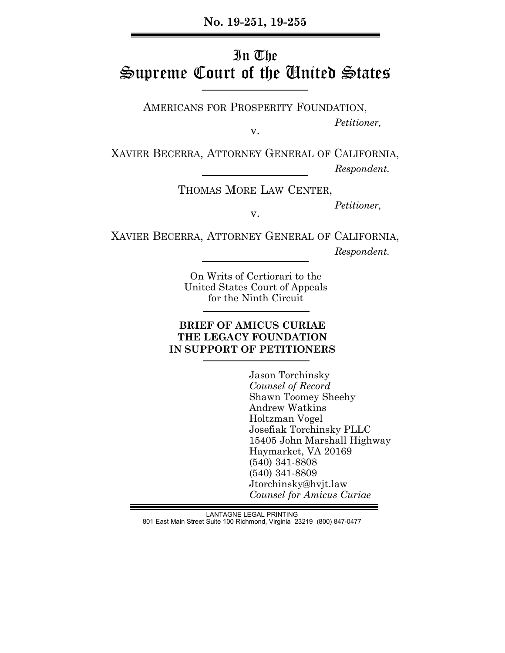## **No. 19-251, 19-255**

# In The Supreme Court of the United States

AMERICANS FOR PROSPERITY FOUNDATION,

v.

XAVIER BECERRA, ATTORNEY GENERAL OF CALIFORNIA,

 *Respondent.*

 *Petitioner,*

THOMAS MORE LAW CENTER,

 *Petitioner,*

v.

XAVIER BECERRA, ATTORNEY GENERAL OF CALIFORNIA,  *Respondent.*

> On Writs of Certiorari to the United States Court of Appeals for the Ninth Circuit

## **BRIEF OF AMICUS CURIAE THE LEGACY FOUNDATION IN SUPPORT OF PETITIONERS**

 Jason Torchinsky  *Counsel of Record* Shawn Toomey Sheehy Andrew Watkins Holtzman Vogel Josefiak Torchinsky PLLC 15405 John Marshall Highway Haymarket, VA 20169 (540) 341-8808 (540) 341-8809 Jtorchinsky@hvjt.law  *Counsel for Amicus Curiae*

LANTAGNE LEGAL PRINTING 801 East Main Street Suite 100 Richmond, Virginia 23219 (800) 847-0477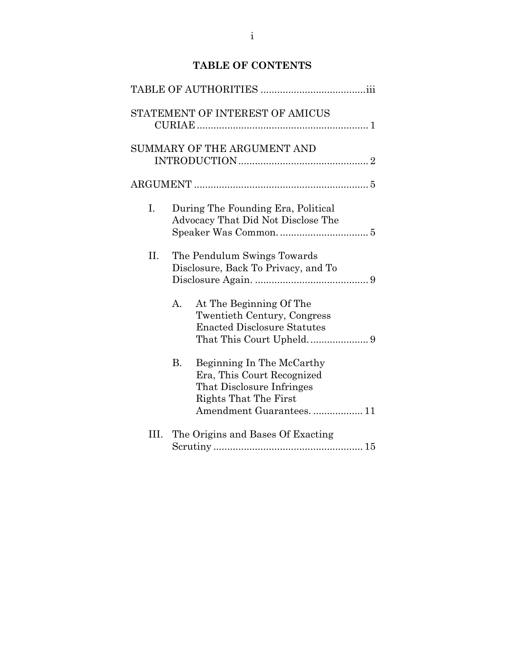# **TABLE OF CONTENTS**

|     | STATEMENT OF INTEREST OF AMICUS                                                                                                                |
|-----|------------------------------------------------------------------------------------------------------------------------------------------------|
|     | SUMMARY OF THE ARGUMENT AND                                                                                                                    |
|     |                                                                                                                                                |
| Ι.  | During The Founding Era, Political<br>Advocacy That Did Not Disclose The                                                                       |
| II. | The Pendulum Swings Towards<br>Disclosure, Back To Privacy, and To                                                                             |
|     | А.<br>At The Beginning Of The<br>Twentieth Century, Congress<br><b>Enacted Disclosure Statutes</b>                                             |
|     | В.<br>Beginning In The McCarthy<br>Era, This Court Recognized<br>That Disclosure Infringes<br>Rights That The First<br>Amendment Guarantees 11 |
| Ш.  | The Origins and Bases Of Exacting                                                                                                              |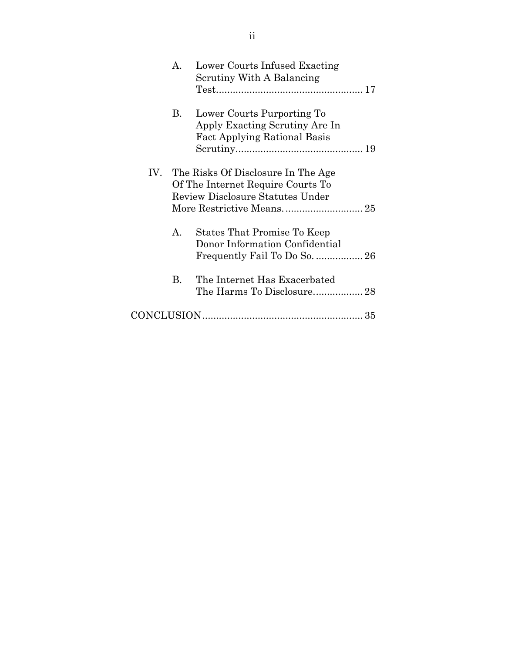| $\mathsf{A}$ . | Lower Courts Infused Exacting<br>Scrutiny With A Balancing                                                      |
|----------------|-----------------------------------------------------------------------------------------------------------------|
| В.             | Lower Courts Purporting To<br>Apply Exacting Scrutiny Are In<br><b>Fact Applying Rational Basis</b>             |
|                | IV. The Risks Of Disclosure In The Age<br>Of The Internet Require Courts To<br>Review Disclosure Statutes Under |
| A.             | States That Promise To Keep<br>Donor Information Confidential                                                   |
| В.             | The Internet Has Exacerbated                                                                                    |
|                |                                                                                                                 |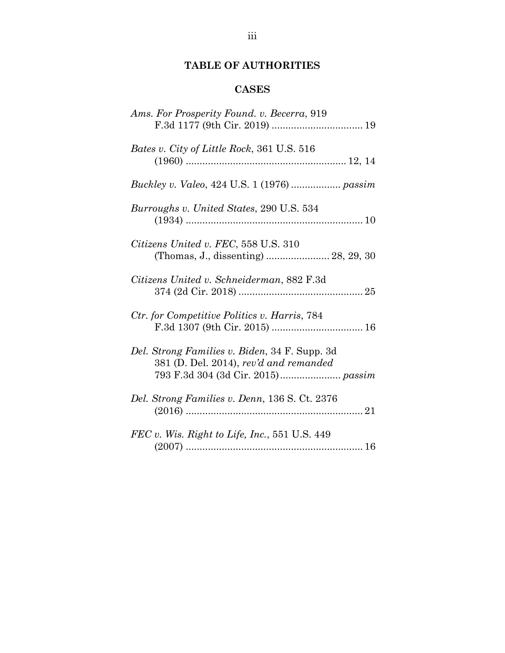# **TABLE OF AUTHORITIES**

## **CASES**

| Ams. For Prosperity Found. v. Becerra, 919                                              |
|-----------------------------------------------------------------------------------------|
| Bates v. City of Little Rock, 361 U.S. 516                                              |
|                                                                                         |
| Burroughs v. United States, 290 U.S. 534                                                |
| Citizens United v. FEC, 558 U.S. 310<br>(Thomas, J., dissenting)  28, 29, 30            |
| Citizens United v. Schneiderman, 882 F.3d                                               |
| Ctr. for Competitive Politics v. Harris, 784                                            |
| Del. Strong Families v. Biden, 34 F. Supp. 3d<br>381 (D. Del. 2014), rev'd and remanded |
| Del. Strong Families v. Denn, 136 S. Ct. 2376                                           |
| $FEC$ v. Wis. Right to Life, Inc., 551 U.S. 449                                         |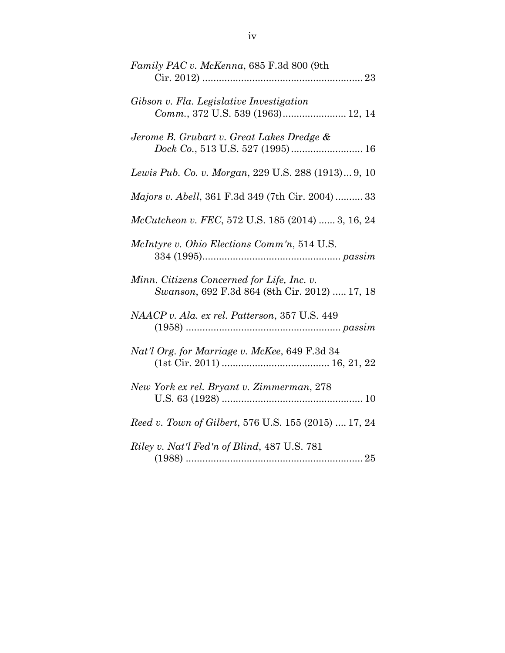| Family PAC v. McKenna, 685 F.3d 800 (9th                                                    |
|---------------------------------------------------------------------------------------------|
| Gibson v. Fla. Legislative Investigation<br>Comm., 372 U.S. 539 (1963) 12, 14               |
| Jerome B. Grubart v. Great Lakes Dredge &                                                   |
| Lewis Pub. Co. v. Morgan, 229 U.S. 288 (1913) 9, 10                                         |
| <i>Majors v. Abell</i> , 361 F.3d 349 (7th Cir. 2004)  33                                   |
| McCutcheon v. FEC, 572 U.S. 185 (2014)  3, 16, 24                                           |
| McIntyre v. Ohio Elections Comm'n, 514 U.S.                                                 |
| Minn. Citizens Concerned for Life, Inc. v.<br>Swanson, 692 F.3d 864 (8th Cir. 2012)  17, 18 |
| NAACP v. Ala. ex rel. Patterson, 357 U.S. 449                                               |
| Nat'l Org. for Marriage v. McKee, 649 F.3d 34                                               |
| New York ex rel. Bryant v. Zimmerman, 278                                                   |
| Reed v. Town of Gilbert, 576 U.S. 155 (2015)  17, 24                                        |
| Riley v. Nat'l Fed'n of Blind, 487 U.S. 781                                                 |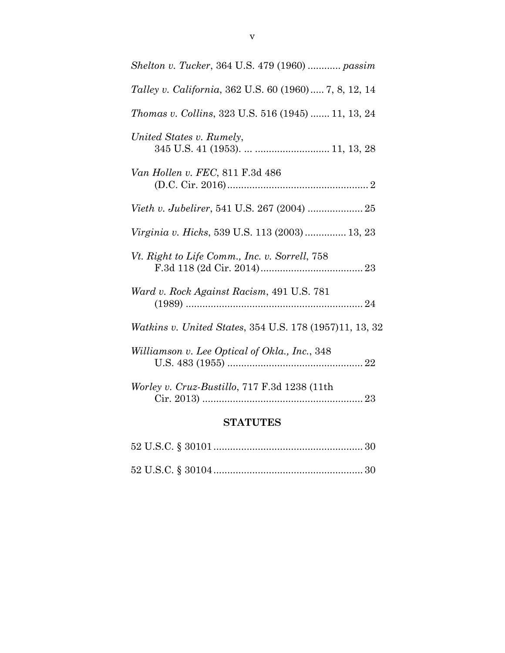| <i>Shelton v. Tucker</i> , 364 U.S. 479 (1960) <i>passim</i> |
|--------------------------------------------------------------|
| Talley v. California, 362 U.S. 60 (1960) 7, 8, 12, 14        |
| <i>Thomas v. Collins, 323 U.S. 516 (1945)  11, 13, 24</i>    |
| United States v. Rumely,                                     |
| Van Hollen v. FEC, 811 F.3d 486                              |
|                                                              |
| <i>Virginia v. Hicks</i> , 539 U.S. 113 (2003)  13, 23       |
| Vt. Right to Life Comm., Inc. v. Sorrell, 758                |
| Ward v. Rock Against Racism, 491 U.S. 781                    |
| Watkins v. United States, 354 U.S. 178 (1957)11, 13, 32      |
| Williamson v. Lee Optical of Okla., Inc., 348                |
| Worley v. Cruz-Bustillo, 717 F.3d 1238 (11th                 |
|                                                              |

# **STATUTES**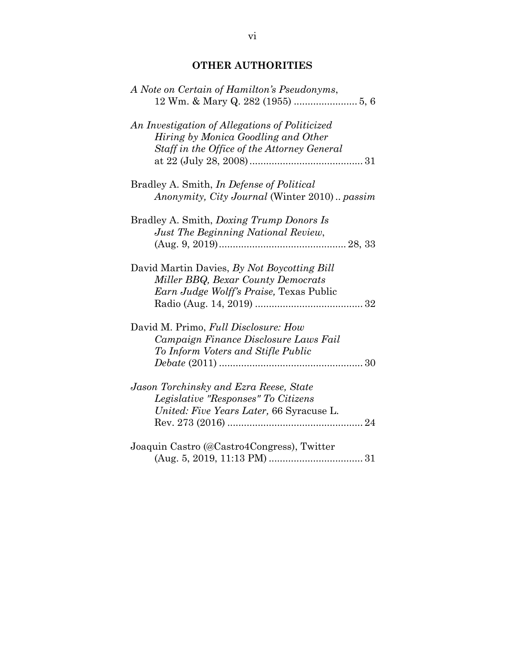# **OTHER AUTHORITIES**

| A Note on Certain of Hamilton's Pseudonyms,                |
|------------------------------------------------------------|
|                                                            |
| An Investigation of Allegations of Politicized             |
| Hiring by Monica Goodling and Other                        |
| Staff in the Office of the Attorney General                |
|                                                            |
| Bradley A. Smith, <i>In Defense of Political</i>           |
| <i>Anonymity, City Journal</i> (Winter 2010) <i>passim</i> |
| Bradley A. Smith, <i>Doxing Trump Donors Is</i>            |
| Just The Beginning National Review,                        |
|                                                            |
| David Martin Davies, By Not Boycotting Bill                |
| Miller BBQ, Bexar County Democrats                         |
| Earn Judge Wolff's Praise, Texas Public                    |
|                                                            |
| David M. Primo, Full Disclosure: How                       |
| Campaign Finance Disclosure Laws Fail                      |
| To Inform Voters and Stifle Public                         |
|                                                            |
| Jason Torchinsky and Ezra Reese, State                     |
| Legislative "Responses" To Citizens                        |
| United: Five Years Later, 66 Syracuse L.                   |
|                                                            |
| Joaquin Castro (@Castro4Congress), Twitter                 |
|                                                            |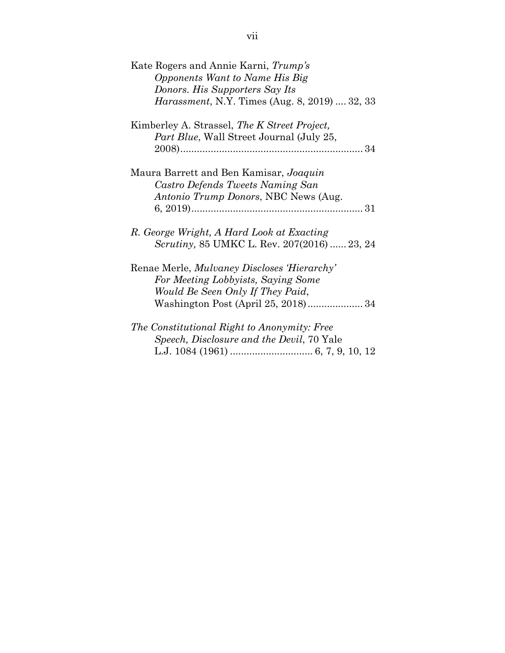| Kate Rogers and Annie Karni, Trump's                 |
|------------------------------------------------------|
| Opponents Want to Name His Big                       |
| Donors. His Supporters Say Its                       |
| <i>Harassment, N.Y. Times (Aug. 8, 2019)  32, 33</i> |
| Kimberley A. Strassel, The K Street Project,         |
| <i>Part Blue,</i> Wall Street Journal (July 25,      |
|                                                      |
| Maura Barrett and Ben Kamisar, Joaquin               |
| Castro Defends Tweets Naming San                     |
| Antonio Trump Donors, NBC News (Aug.                 |
|                                                      |
| R. George Wright, A Hard Look at Exacting            |
| <i>Scrutiny</i> , 85 UMKC L. Rev. 207(2016)  23, 24  |
| Renae Merle, Mulvaney Discloses 'Hierarchy'          |
| For Meeting Lobbyists, Saying Some                   |
| Would Be Seen Only If They Paid,                     |
|                                                      |
| The Constitutional Right to Anonymity: Free          |
| <i>Speech, Disclosure and the Devil, 70 Yale</i>     |
|                                                      |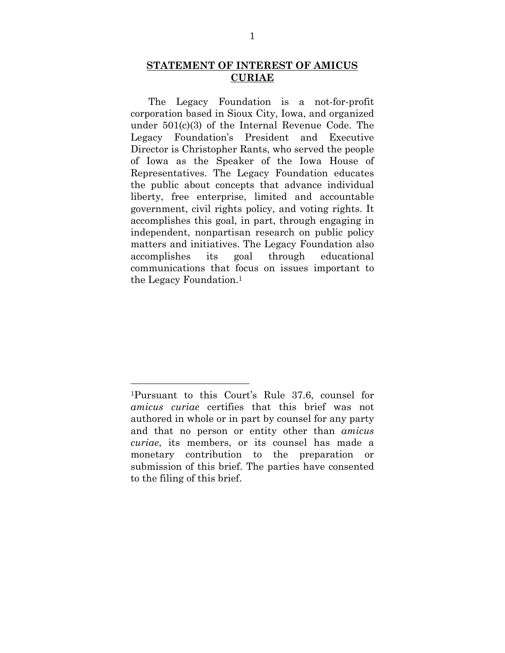#### **STATEMENT OF INTEREST OF AMICUS CURIAE**

The Legacy Foundation is a not-for-profit corporation based in Sioux City, Iowa, and organized under 501(c)(3) of the Internal Revenue Code. The Legacy Foundation's President and Executive Director is Christopher Rants, who served the people of Iowa as the Speaker of the Iowa House of Representatives. The Legacy Foundation educates the public about concepts that advance individual liberty, free enterprise, limited and accountable government, civil rights policy, and voting rights. It accomplishes this goal, in part, through engaging in independent, nonpartisan research on public policy matters and initiatives. The Legacy Foundation also accomplishes its goal through educational communications that focus on issues important to the Legacy Foundation.1

<sup>1</sup>Pursuant to this Court's Rule 37.6, counsel for *amicus curiae* certifies that this brief was not authored in whole or in part by counsel for any party and that no person or entity other than *amicus curiae*, its members, or its counsel has made a monetary contribution to the preparation or submission of this brief. The parties have consented to the filing of this brief.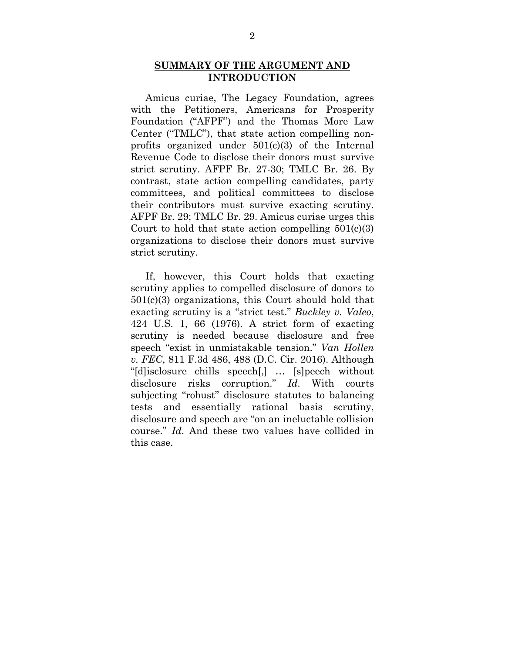#### **SUMMARY OF THE ARGUMENT AND INTRODUCTION**

Amicus curiae, The Legacy Foundation, agrees with the Petitioners, Americans for Prosperity Foundation ("AFPF") and the Thomas More Law Center ("TMLC"), that state action compelling nonprofits organized under  $501(c)(3)$  of the Internal Revenue Code to disclose their donors must survive strict scrutiny. AFPF Br. 27-30; TMLC Br. 26. By contrast, state action compelling candidates, party committees, and political committees to disclose their contributors must survive exacting scrutiny. AFPF Br. 29; TMLC Br. 29. Amicus curiae urges this Court to hold that state action compelling  $501(c)(3)$ organizations to disclose their donors must survive strict scrutiny.

If, however, this Court holds that exacting scrutiny applies to compelled disclosure of donors to 501(c)(3) organizations, this Court should hold that exacting scrutiny is a "strict test." *Buckley v. Valeo*, 424 U.S. 1, 66 (1976). A strict form of exacting scrutiny is needed because disclosure and free speech "exist in unmistakable tension." *Van Hollen v. FEC*, 811 F.3d 486, 488 (D.C. Cir. 2016). Although "[d]isclosure chills speech[,] … [s]peech without disclosure risks corruption." *Id*. With courts subjecting "robust" disclosure statutes to balancing tests and essentially rational basis scrutiny, disclosure and speech are "on an ineluctable collision course." *Id*. And these two values have collided in this case.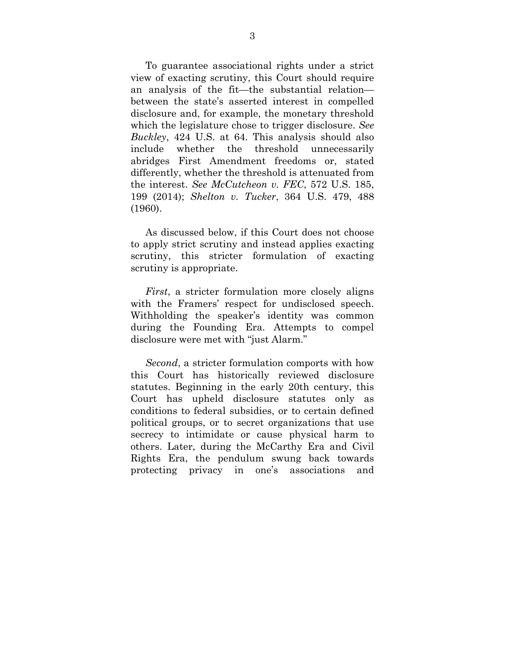To guarantee associational rights under a strict view of exacting scrutiny, this Court should require an analysis of the fit—the substantial relation between the state's asserted interest in compelled disclosure and, for example, the monetary threshold which the legislature chose to trigger disclosure. *See Buckley*, 424 U.S. at 64. This analysis should also include whether the threshold unnecessarily abridges First Amendment freedoms or, stated differently, whether the threshold is attenuated from the interest. *See McCutcheon v. FEC*, 572 U.S. 185, 199 (2014); *Shelton v. Tucker*, 364 U.S. 479, 488 (1960).

As discussed below, if this Court does not choose to apply strict scrutiny and instead applies exacting scrutiny, this stricter formulation of exacting scrutiny is appropriate.

*First*, a stricter formulation more closely aligns with the Framers' respect for undisclosed speech. Withholding the speaker's identity was common during the Founding Era. Attempts to compel disclosure were met with "just Alarm."

*Second*, a stricter formulation comports with how this Court has historically reviewed disclosure statutes. Beginning in the early 20th century, this Court has upheld disclosure statutes only as conditions to federal subsidies, or to certain defined political groups, or to secret organizations that use secrecy to intimidate or cause physical harm to others. Later, during the McCarthy Era and Civil Rights Era, the pendulum swung back towards protecting privacy in one's associations and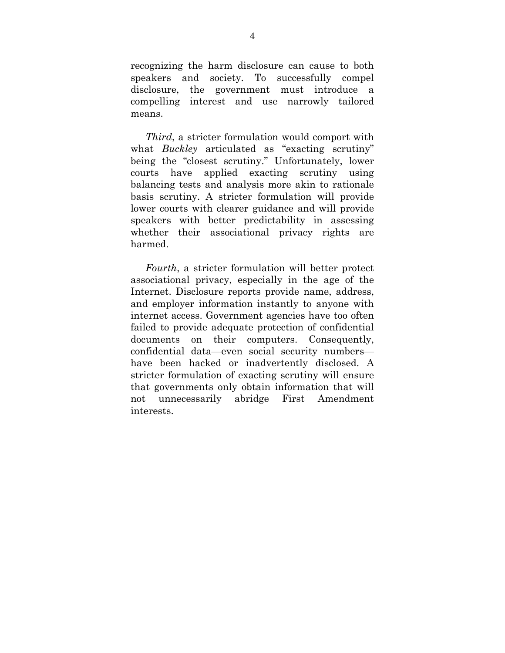recognizing the harm disclosure can cause to both speakers and society. To successfully compel disclosure, the government must introduce a compelling interest and use narrowly tailored means.

*Third*, a stricter formulation would comport with what *Buckley* articulated as "exacting scrutiny" being the "closest scrutiny." Unfortunately, lower courts have applied exacting scrutiny using balancing tests and analysis more akin to rationale basis scrutiny. A stricter formulation will provide lower courts with clearer guidance and will provide speakers with better predictability in assessing whether their associational privacy rights are harmed.

*Fourth*, a stricter formulation will better protect associational privacy, especially in the age of the Internet. Disclosure reports provide name, address, and employer information instantly to anyone with internet access. Government agencies have too often failed to provide adequate protection of confidential documents on their computers. Consequently, confidential data—even social security numbers have been hacked or inadvertently disclosed. A stricter formulation of exacting scrutiny will ensure that governments only obtain information that will not unnecessarily abridge First Amendment interests.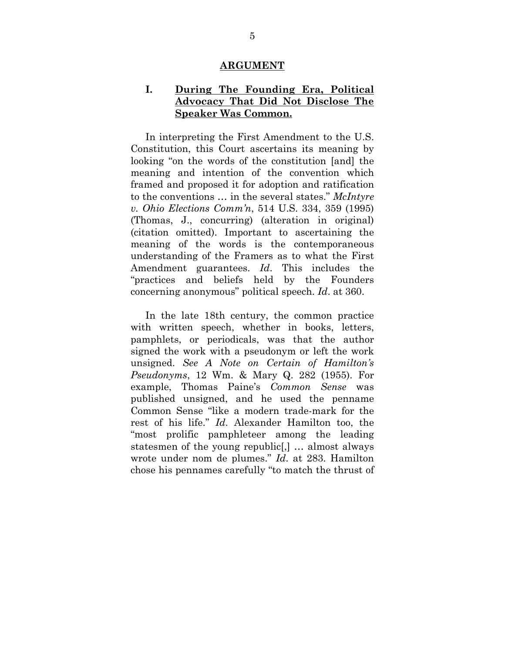#### **ARGUMENT**

#### **I. During The Founding Era, Political Advocacy That Did Not Disclose The Speaker Was Common.**

In interpreting the First Amendment to the U.S. Constitution, this Court ascertains its meaning by looking "on the words of the constitution [and] the meaning and intention of the convention which framed and proposed it for adoption and ratification to the conventions … in the several states." *McIntyre v. Ohio Elections Comm'n*, 514 U.S. 334, 359 (1995) (Thomas, J., concurring) (alteration in original) (citation omitted). Important to ascertaining the meaning of the words is the contemporaneous understanding of the Framers as to what the First Amendment guarantees. *Id*. This includes the "practices and beliefs held by the Founders concerning anonymous" political speech. *Id*. at 360.

In the late 18th century, the common practice with written speech, whether in books, letters, pamphlets, or periodicals, was that the author signed the work with a pseudonym or left the work unsigned. *See A Note on Certain of Hamilton's Pseudonyms*, 12 Wm. & Mary Q. 282 (1955). For example, Thomas Paine's *Common Sense* was published unsigned, and he used the penname Common Sense "like a modern trade-mark for the rest of his life." *Id*. Alexander Hamilton too, the "most prolific pamphleteer among the leading statesmen of the young republic[,] … almost always wrote under nom de plumes." *Id*. at 283. Hamilton chose his pennames carefully "to match the thrust of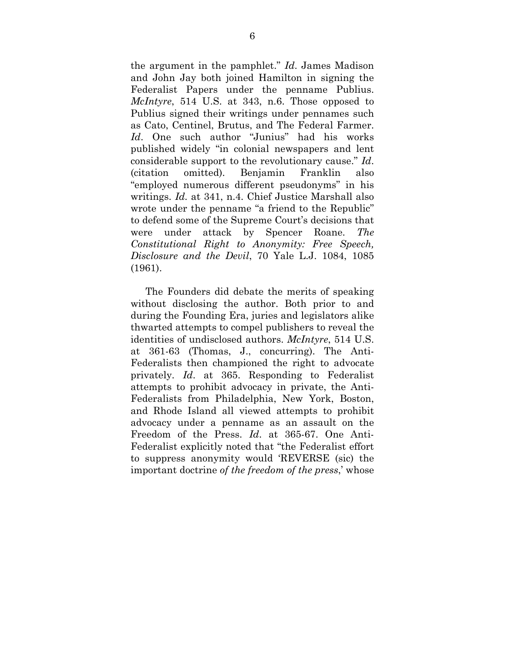the argument in the pamphlet." *Id*. James Madison and John Jay both joined Hamilton in signing the Federalist Papers under the penname Publius. *McIntyre*, 514 U.S. at 343, n.6. Those opposed to Publius signed their writings under pennames such as Cato, Centinel, Brutus, and The Federal Farmer. *Id*. One such author "Junius" had his works published widely "in colonial newspapers and lent considerable support to the revolutionary cause." *Id*. (citation omitted). Benjamin Franklin also "employed numerous different pseudonyms" in his writings. *Id.* at 341, n.4. Chief Justice Marshall also wrote under the penname "a friend to the Republic" to defend some of the Supreme Court's decisions that were under attack by Spencer Roane. *The Constitutional Right to Anonymity: Free Speech, Disclosure and the Devil*, 70 Yale L.J. 1084, 1085 (1961).

The Founders did debate the merits of speaking without disclosing the author. Both prior to and during the Founding Era, juries and legislators alike thwarted attempts to compel publishers to reveal the identities of undisclosed authors. *McIntyre*, 514 U.S. at 361-63 (Thomas, J., concurring). The Anti-Federalists then championed the right to advocate privately. *Id*. at 365. Responding to Federalist attempts to prohibit advocacy in private, the Anti-Federalists from Philadelphia, New York, Boston, and Rhode Island all viewed attempts to prohibit advocacy under a penname as an assault on the Freedom of the Press. *Id*. at 365-67. One Anti-Federalist explicitly noted that "the Federalist effort to suppress anonymity would 'REVERSE (sic) the important doctrine *of the freedom of the press*,' whose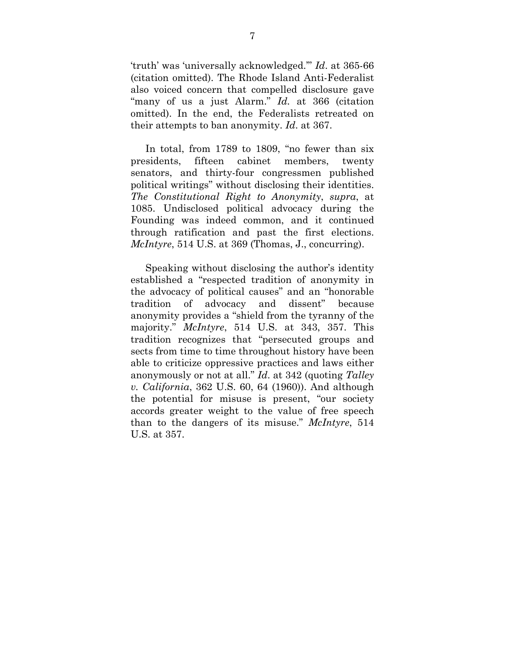'truth' was 'universally acknowledged.'" *Id*. at 365-66 (citation omitted). The Rhode Island Anti-Federalist also voiced concern that compelled disclosure gave "many of us a just Alarm." *Id.* at 366 (citation omitted). In the end, the Federalists retreated on their attempts to ban anonymity. *Id*. at 367.

In total, from 1789 to 1809, "no fewer than six presidents, fifteen cabinet members, twenty senators, and thirty-four congressmen published political writings" without disclosing their identities. *The Constitutional Right to Anonymity*, *supra*, at 1085. Undisclosed political advocacy during the Founding was indeed common, and it continued through ratification and past the first elections. *McIntyre*, 514 U.S. at 369 (Thomas, J., concurring).

Speaking without disclosing the author's identity established a "respected tradition of anonymity in the advocacy of political causes" and an "honorable tradition of advocacy and dissent" because anonymity provides a "shield from the tyranny of the majority." *McIntyre*, 514 U.S. at 343, 357. This tradition recognizes that "persecuted groups and sects from time to time throughout history have been able to criticize oppressive practices and laws either anonymously or not at all." *Id*. at 342 (quoting *Talley v. California*, 362 U.S. 60, 64 (1960)). And although the potential for misuse is present, "our society accords greater weight to the value of free speech than to the dangers of its misuse." *McIntyre*, 514 U.S. at 357.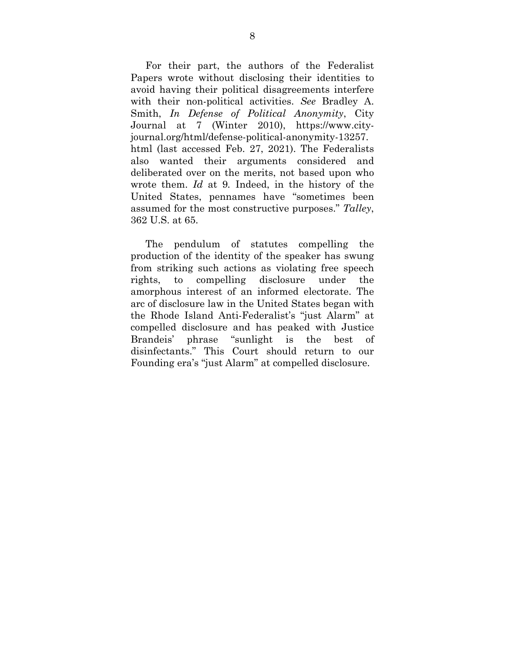For their part, the authors of the Federalist Papers wrote without disclosing their identities to avoid having their political disagreements interfere with their non-political activities. *See* Bradley A. Smith, *In Defense of Political Anonymity*, City Journal at 7 (Winter 2010), https://www.cityjournal.org/html/defense-political-anonymity-13257. html (last accessed Feb. 27, 2021). The Federalists also wanted their arguments considered and deliberated over on the merits, not based upon who wrote them. *Id* at 9*.* Indeed, in the history of the United States, pennames have "sometimes been assumed for the most constructive purposes." *Talley*, 362 U.S. at 65.

The pendulum of statutes compelling the production of the identity of the speaker has swung from striking such actions as violating free speech rights, to compelling disclosure under the amorphous interest of an informed electorate. The arc of disclosure law in the United States began with the Rhode Island Anti-Federalist's "just Alarm" at compelled disclosure and has peaked with Justice Brandeis' phrase "sunlight is the best of disinfectants." This Court should return to our Founding era's "just Alarm" at compelled disclosure.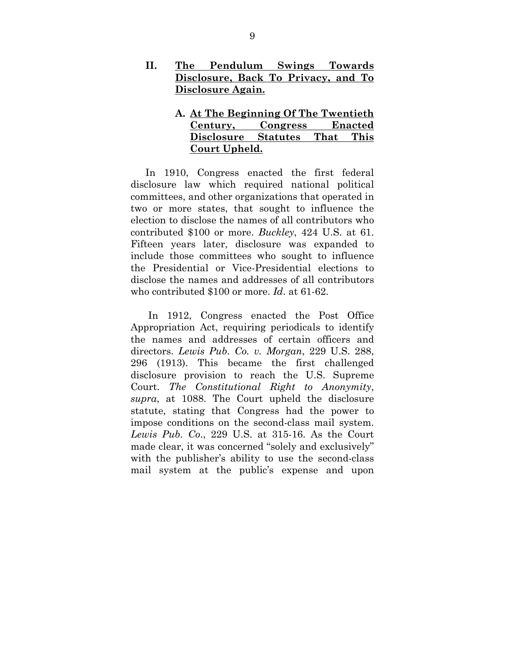- **II. The Pendulum Swings Towards Disclosure, Back To Privacy, and To Disclosure Again.** 
	- **A. At The Beginning Of The Twentieth Century, Congress Enacted Disclosure Statutes That This Court Upheld.**

In 1910, Congress enacted the first federal disclosure law which required national political committees, and other organizations that operated in two or more states, that sought to influence the election to disclose the names of all contributors who contributed \$100 or more. *Buckley*, 424 U.S. at 61. Fifteen years later, disclosure was expanded to include those committees who sought to influence the Presidential or Vice-Presidential elections to disclose the names and addresses of all contributors who contributed \$100 or more. *Id*. at 61-62.

 In 1912, Congress enacted the Post Office Appropriation Act, requiring periodicals to identify the names and addresses of certain officers and directors. *Lewis Pub. Co. v. Morgan*, 229 U.S. 288, 296 (1913). This became the first challenged disclosure provision to reach the U.S. Supreme Court. *The Constitutional Right to Anonymity*, *supra*, at 1088. The Court upheld the disclosure statute, stating that Congress had the power to impose conditions on the second-class mail system. *Lewis Pub. Co*., 229 U.S. at 315-16. As the Court made clear, it was concerned "solely and exclusively" with the publisher's ability to use the second-class mail system at the public's expense and upon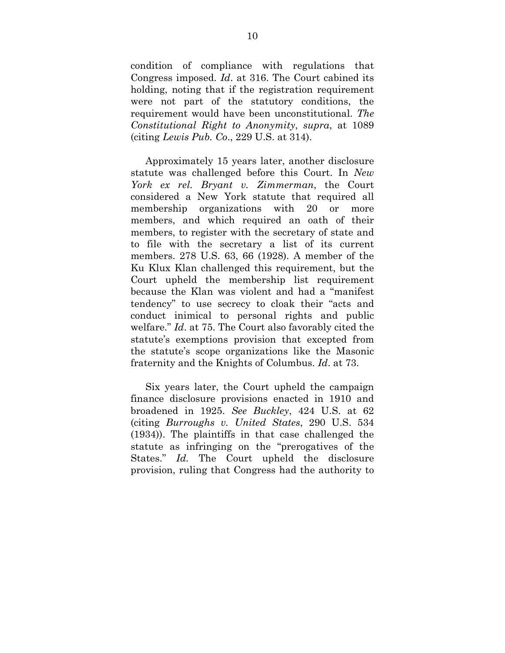condition of compliance with regulations that Congress imposed. *Id*. at 316. The Court cabined its holding, noting that if the registration requirement were not part of the statutory conditions, the requirement would have been unconstitutional. *The Constitutional Right to Anonymity*, *supra*, at 1089 (citing *Lewis Pub. Co*., 229 U.S. at 314).

Approximately 15 years later, another disclosure statute was challenged before this Court. In *New York ex rel. Bryant v. Zimmerman*, the Court considered a New York statute that required all membership organizations with 20 or more members, and which required an oath of their members, to register with the secretary of state and to file with the secretary a list of its current members. 278 U.S. 63, 66 (1928). A member of the Ku Klux Klan challenged this requirement, but the Court upheld the membership list requirement because the Klan was violent and had a "manifest tendency" to use secrecy to cloak their "acts and conduct inimical to personal rights and public welfare." *Id*. at 75. The Court also favorably cited the statute's exemptions provision that excepted from the statute's scope organizations like the Masonic fraternity and the Knights of Columbus. *Id*. at 73.

Six years later, the Court upheld the campaign finance disclosure provisions enacted in 1910 and broadened in 1925. *See Buckley*, 424 U.S. at 62 (citing *Burroughs v. United States*, 290 U.S. 534 (1934)). The plaintiffs in that case challenged the statute as infringing on the "prerogatives of the States." *Id.* The Court upheld the disclosure provision, ruling that Congress had the authority to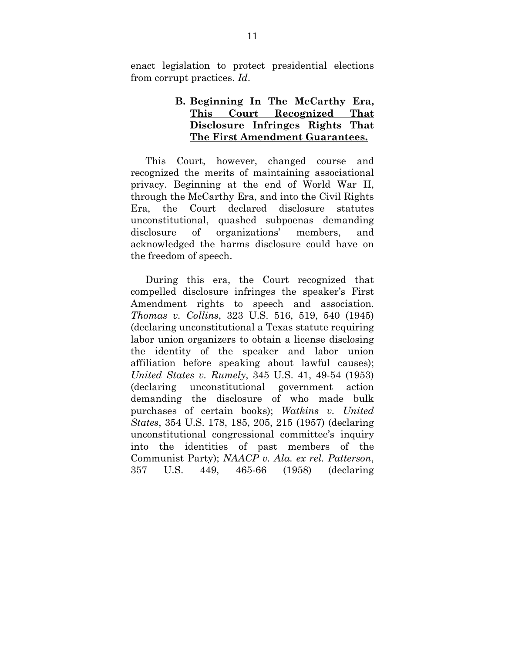enact legislation to protect presidential elections from corrupt practices. *Id*.

### **B. Beginning In The McCarthy Era, This Court Recognized That Disclosure Infringes Rights That The First Amendment Guarantees.**

This Court, however, changed course and recognized the merits of maintaining associational privacy. Beginning at the end of World War II, through the McCarthy Era, and into the Civil Rights Era, the Court declared disclosure statutes unconstitutional, quashed subpoenas demanding disclosure of organizations' members, and acknowledged the harms disclosure could have on the freedom of speech.

During this era, the Court recognized that compelled disclosure infringes the speaker's First Amendment rights to speech and association. *Thomas v. Collins*, 323 U.S. 516, 519, 540 (1945) (declaring unconstitutional a Texas statute requiring labor union organizers to obtain a license disclosing the identity of the speaker and labor union affiliation before speaking about lawful causes); *United States v. Rumely*, 345 U.S. 41, 49-54 (1953) (declaring unconstitutional government action demanding the disclosure of who made bulk purchases of certain books); *Watkins v. United States*, 354 U.S. 178, 185, 205, 215 (1957) (declaring unconstitutional congressional committee's inquiry into the identities of past members of the Communist Party); *NAACP v. Ala. ex rel. Patterson*, 357 U.S. 449, 465-66 (1958) (declaring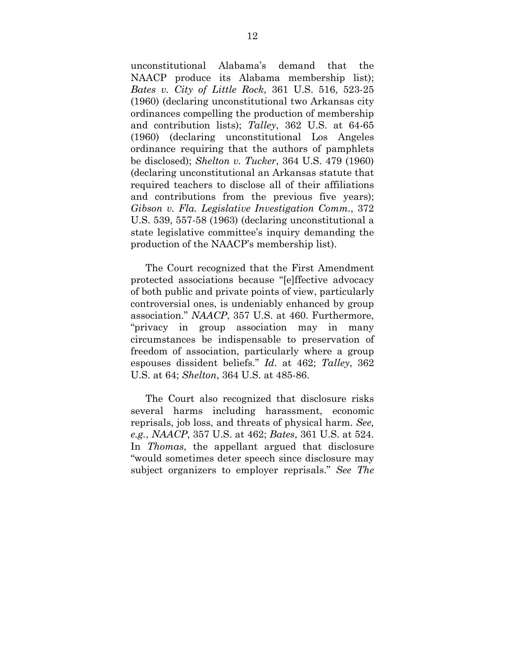unconstitutional Alabama's demand that the NAACP produce its Alabama membership list); *Bates v. City of Little Rock*, 361 U.S. 516, 523-25 (1960) (declaring unconstitutional two Arkansas city ordinances compelling the production of membership and contribution lists); *Talley*, 362 U.S. at 64-65 (1960) (declaring unconstitutional Los Angeles ordinance requiring that the authors of pamphlets be disclosed); *Shelton v. Tucker*, 364 U.S. 479 (1960) (declaring unconstitutional an Arkansas statute that required teachers to disclose all of their affiliations and contributions from the previous five years); *Gibson v. Fla. Legislative Investigation Comm.*, 372 U.S. 539, 557-58 (1963) (declaring unconstitutional a state legislative committee's inquiry demanding the production of the NAACP's membership list).

The Court recognized that the First Amendment protected associations because "[e]ffective advocacy of both public and private points of view, particularly controversial ones, is undeniably enhanced by group association." *NAACP*, 357 U.S. at 460. Furthermore, "privacy in group association may in many circumstances be indispensable to preservation of freedom of association, particularly where a group espouses dissident beliefs." *Id*. at 462; *Talley*, 362 U.S. at 64; *Shelton*, 364 U.S. at 485-86.

The Court also recognized that disclosure risks several harms including harassment, economic reprisals, job loss, and threats of physical harm. *See, e.g.*, *NAACP*, 357 U.S. at 462; *Bates*, 361 U.S. at 524. In *Thomas*, the appellant argued that disclosure "would sometimes deter speech since disclosure may subject organizers to employer reprisals." *See The*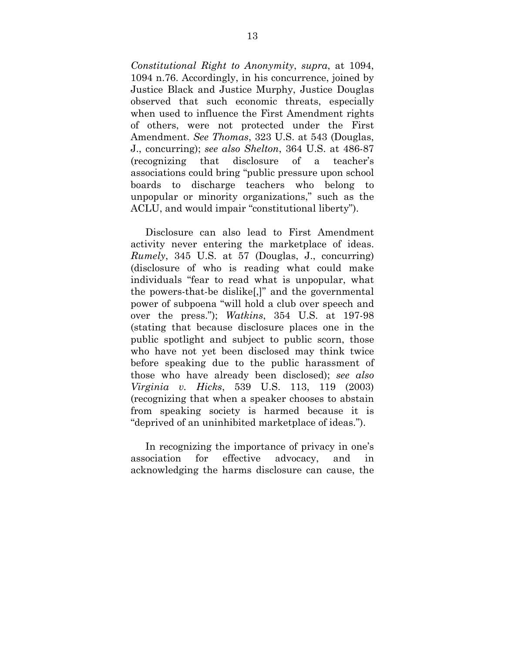*Constitutional Right to Anonymity*, *supra*, at 1094, 1094 n.76. Accordingly, in his concurrence, joined by Justice Black and Justice Murphy, Justice Douglas observed that such economic threats, especially when used to influence the First Amendment rights of others, were not protected under the First Amendment. *See Thomas*, 323 U.S. at 543 (Douglas, J., concurring); *see also Shelton*, 364 U.S. at 486-87 (recognizing that disclosure of a teacher's associations could bring "public pressure upon school boards to discharge teachers who belong to unpopular or minority organizations," such as the ACLU, and would impair "constitutional liberty").

Disclosure can also lead to First Amendment activity never entering the marketplace of ideas. *Rumely*, 345 U.S. at 57 (Douglas, J., concurring) (disclosure of who is reading what could make individuals "fear to read what is unpopular, what the powers-that-be dislike[,]" and the governmental power of subpoena "will hold a club over speech and over the press."); *Watkins*, 354 U.S. at 197-98 (stating that because disclosure places one in the public spotlight and subject to public scorn, those who have not yet been disclosed may think twice before speaking due to the public harassment of those who have already been disclosed); *see also Virginia v. Hicks*, 539 U.S. 113, 119 (2003) (recognizing that when a speaker chooses to abstain from speaking society is harmed because it is "deprived of an uninhibited marketplace of ideas.").

In recognizing the importance of privacy in one's association for effective advocacy, and in acknowledging the harms disclosure can cause, the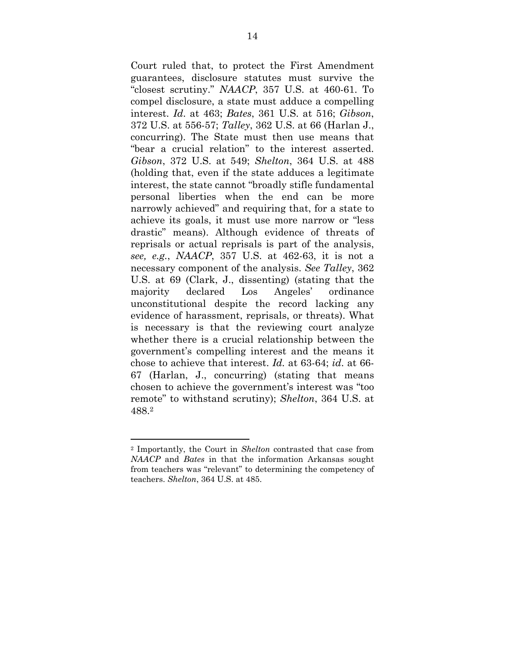Court ruled that, to protect the First Amendment guarantees, disclosure statutes must survive the "closest scrutiny." *NAACP*, 357 U.S. at 460-61. To compel disclosure, a state must adduce a compelling interest. *Id*. at 463; *Bates*, 361 U.S. at 516; *Gibson*, 372 U.S. at 556-57; *Talley*, 362 U.S. at 66 (Harlan J., concurring). The State must then use means that "bear a crucial relation" to the interest asserted. *Gibson*, 372 U.S. at 549; *Shelton*, 364 U.S. at 488 (holding that, even if the state adduces a legitimate interest, the state cannot "broadly stifle fundamental personal liberties when the end can be more narrowly achieved" and requiring that, for a state to achieve its goals, it must use more narrow or "less drastic" means). Although evidence of threats of reprisals or actual reprisals is part of the analysis, *see, e.g.*, *NAACP*, 357 U.S. at 462-63, it is not a necessary component of the analysis. *See Talley*, 362 U.S. at 69 (Clark, J., dissenting) (stating that the majority declared Los Angeles' ordinance unconstitutional despite the record lacking any evidence of harassment, reprisals, or threats). What is necessary is that the reviewing court analyze whether there is a crucial relationship between the government's compelling interest and the means it chose to achieve that interest. *Id.* at 63-64; *id*. at 66- 67 (Harlan, J., concurring) (stating that means chosen to achieve the government's interest was "too remote" to withstand scrutiny); *Shelton*, 364 U.S. at 488.2

<sup>2</sup> Importantly, the Court in *Shelton* contrasted that case from *NAACP* and *Bates* in that the information Arkansas sought from teachers was "relevant" to determining the competency of teachers. *Shelton*, 364 U.S. at 485.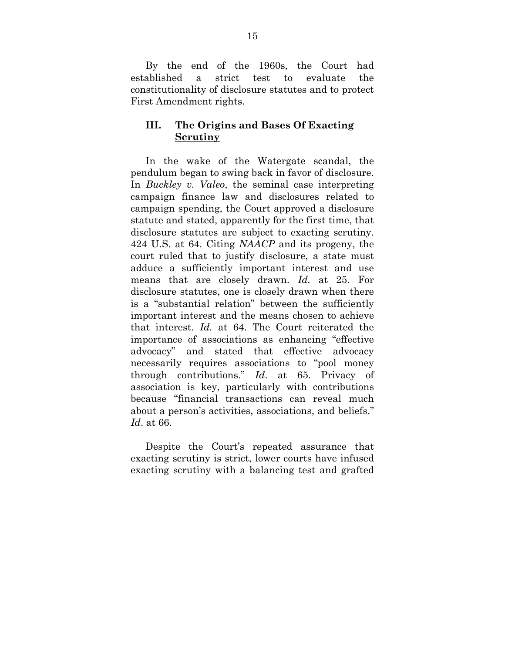By the end of the 1960s, the Court had established a strict test to evaluate the constitutionality of disclosure statutes and to protect First Amendment rights.

## **III. The Origins and Bases Of Exacting Scrutiny**

In the wake of the Watergate scandal, the pendulum began to swing back in favor of disclosure. In *Buckley v. Valeo*, the seminal case interpreting campaign finance law and disclosures related to campaign spending, the Court approved a disclosure statute and stated, apparently for the first time, that disclosure statutes are subject to exacting scrutiny. 424 U.S. at 64. Citing *NAACP* and its progeny, the court ruled that to justify disclosure, a state must adduce a sufficiently important interest and use means that are closely drawn. *Id.* at 25. For disclosure statutes, one is closely drawn when there is a "substantial relation" between the sufficiently important interest and the means chosen to achieve that interest. *Id.* at 64. The Court reiterated the importance of associations as enhancing "effective advocacy" and stated that effective advocacy necessarily requires associations to "pool money through contributions." *Id*. at 65. Privacy of association is key, particularly with contributions because "financial transactions can reveal much about a person's activities, associations, and beliefs." *Id*. at 66.

Despite the Court's repeated assurance that exacting scrutiny is strict, lower courts have infused exacting scrutiny with a balancing test and grafted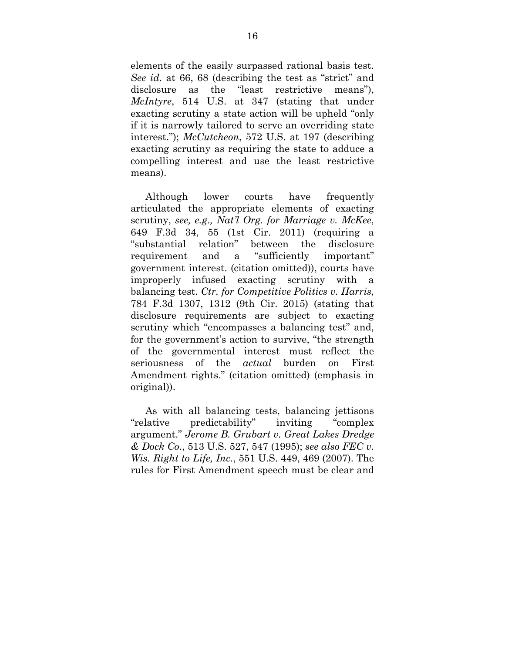elements of the easily surpassed rational basis test. *See id.* at 66, 68 (describing the test as "strict" and disclosure as the "least restrictive means"), *McIntyre*, 514 U.S. at 347 (stating that under exacting scrutiny a state action will be upheld "only if it is narrowly tailored to serve an overriding state interest."); *McCutcheon*, 572 U.S. at 197 (describing exacting scrutiny as requiring the state to adduce a compelling interest and use the least restrictive means).

Although lower courts have frequently articulated the appropriate elements of exacting scrutiny, *see, e.g., Nat'l Org. for Marriage v. McKee*, 649 F.3d 34, 55 (1st Cir. 2011) (requiring a "substantial relation" between the disclosure requirement and a "sufficiently important" government interest. (citation omitted)), courts have improperly infused exacting scrutiny with a balancing test. *Ctr. for Competitive Politics v. Harris*, 784 F.3d 1307, 1312 (9th Cir. 2015) (stating that disclosure requirements are subject to exacting scrutiny which "encompasses a balancing test" and, for the government's action to survive, "the strength of the governmental interest must reflect the seriousness of the *actual* burden on First Amendment rights." (citation omitted) (emphasis in original)).

As with all balancing tests, balancing jettisons "relative predictability" inviting "complex argument." *Jerome B. Grubart v. Great Lakes Dredge & Dock Co*., 513 U.S. 527, 547 (1995); *see also FEC v. Wis. Right to Life, Inc.*, 551 U.S. 449, 469 (2007). The rules for First Amendment speech must be clear and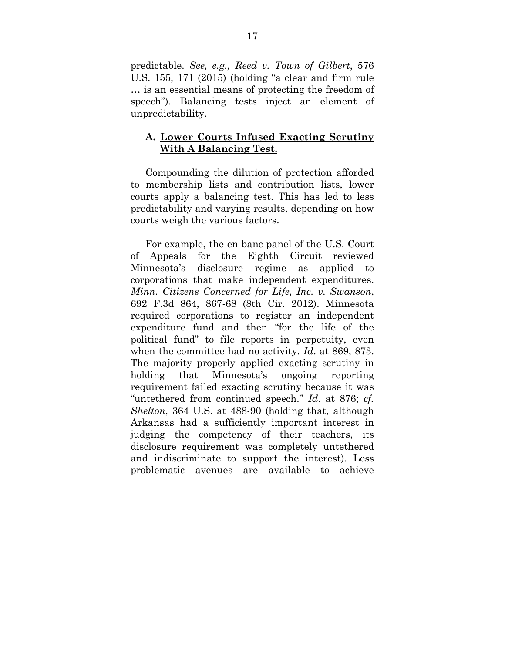predictable. *See, e.g., Reed v. Town of Gilbert*, 576 U.S. 155, 171 (2015) (holding "a clear and firm rule … is an essential means of protecting the freedom of speech"). Balancing tests inject an element of unpredictability.

#### **A. Lower Courts Infused Exacting Scrutiny With A Balancing Test.**

Compounding the dilution of protection afforded to membership lists and contribution lists, lower courts apply a balancing test. This has led to less predictability and varying results, depending on how courts weigh the various factors.

For example, the en banc panel of the U.S. Court of Appeals for the Eighth Circuit reviewed Minnesota's disclosure regime as applied to corporations that make independent expenditures. *Minn. Citizens Concerned for Life, Inc. v. Swanson*, 692 F.3d 864, 867-68 (8th Cir. 2012). Minnesota required corporations to register an independent expenditure fund and then "for the life of the political fund" to file reports in perpetuity, even when the committee had no activity. *Id*. at 869, 873. The majority properly applied exacting scrutiny in holding that Minnesota's ongoing reporting requirement failed exacting scrutiny because it was "untethered from continued speech." *Id*. at 876; *cf. Shelton*, 364 U.S. at 488-90 (holding that, although Arkansas had a sufficiently important interest in judging the competency of their teachers, its disclosure requirement was completely untethered and indiscriminate to support the interest). Less problematic avenues are available to achieve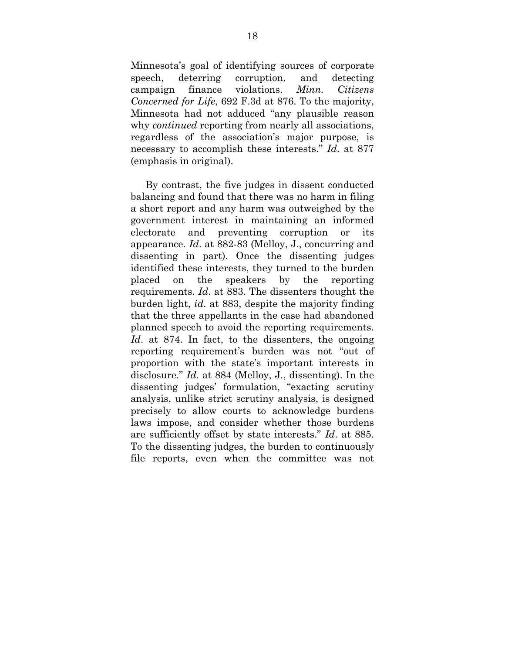Minnesota's goal of identifying sources of corporate speech, deterring corruption, and detecting campaign finance violations. *Minn. Citizens Concerned for Life*, 692 F.3d at 876. To the majority, Minnesota had not adduced "any plausible reason why *continued* reporting from nearly all associations, regardless of the association's major purpose, is necessary to accomplish these interests." *Id*. at 877 (emphasis in original).

By contrast, the five judges in dissent conducted balancing and found that there was no harm in filing a short report and any harm was outweighed by the government interest in maintaining an informed electorate and preventing corruption or its appearance. *Id*. at 882-83 (Melloy, J., concurring and dissenting in part). Once the dissenting judges identified these interests, they turned to the burden placed on the speakers by the reporting requirements. *Id*. at 883. The dissenters thought the burden light, *id*. at 883, despite the majority finding that the three appellants in the case had abandoned planned speech to avoid the reporting requirements. *Id*. at 874. In fact, to the dissenters, the ongoing reporting requirement's burden was not "out of proportion with the state's important interests in disclosure." *Id*. at 884 (Melloy, J., dissenting). In the dissenting judges' formulation, "exacting scrutiny analysis, unlike strict scrutiny analysis, is designed precisely to allow courts to acknowledge burdens laws impose, and consider whether those burdens are sufficiently offset by state interests." *Id*. at 885. To the dissenting judges, the burden to continuously file reports, even when the committee was not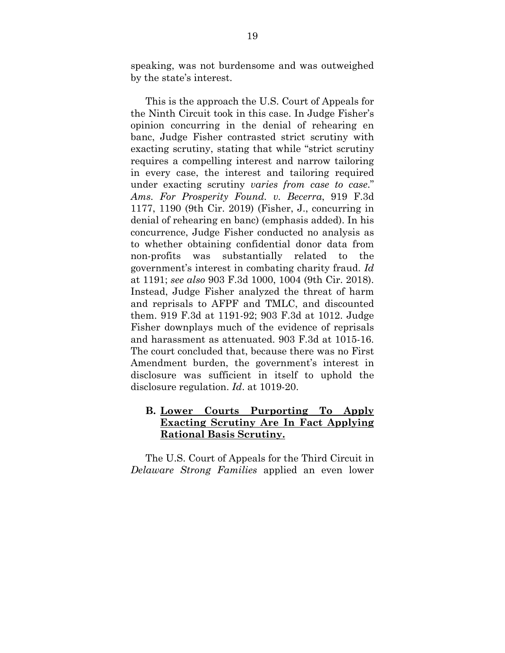speaking, was not burdensome and was outweighed by the state's interest.

This is the approach the U.S. Court of Appeals for the Ninth Circuit took in this case. In Judge Fisher's opinion concurring in the denial of rehearing en banc, Judge Fisher contrasted strict scrutiny with exacting scrutiny, stating that while "strict scrutiny requires a compelling interest and narrow tailoring in every case, the interest and tailoring required under exacting scrutiny *varies from case to case*." *Ams. For Prosperity Found. v. Becerra*, 919 F.3d 1177, 1190 (9th Cir. 2019) (Fisher, J., concurring in denial of rehearing en banc) (emphasis added). In his concurrence, Judge Fisher conducted no analysis as to whether obtaining confidential donor data from non-profits was substantially related to the government's interest in combating charity fraud. *Id* at 1191; *see also* 903 F.3d 1000, 1004 (9th Cir. 2018). Instead, Judge Fisher analyzed the threat of harm and reprisals to AFPF and TMLC, and discounted them. 919 F.3d at 1191-92; 903 F.3d at 1012. Judge Fisher downplays much of the evidence of reprisals and harassment as attenuated. 903 F.3d at 1015-16. The court concluded that, because there was no First Amendment burden, the government's interest in disclosure was sufficient in itself to uphold the disclosure regulation. *Id*. at 1019-20.

## **B. Lower Courts Purporting To Apply Exacting Scrutiny Are In Fact Applying Rational Basis Scrutiny.**

The U.S. Court of Appeals for the Third Circuit in *Delaware Strong Families* applied an even lower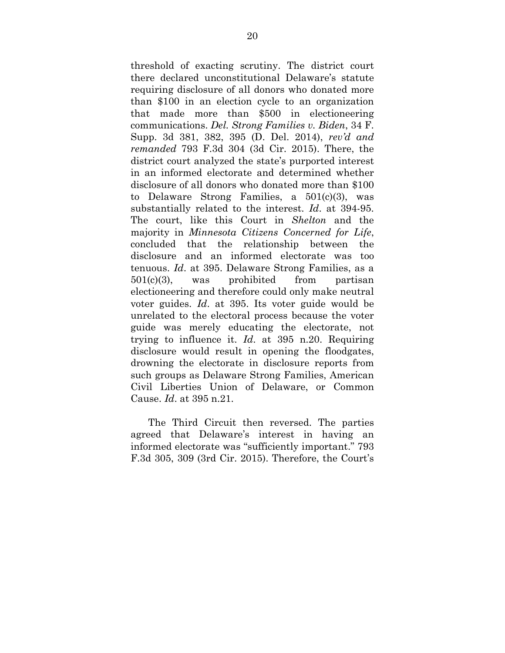threshold of exacting scrutiny. The district court there declared unconstitutional Delaware's statute requiring disclosure of all donors who donated more than \$100 in an election cycle to an organization that made more than \$500 in electioneering communications. *Del. Strong Families v. Biden*, 34 F. Supp. 3d 381, 382, 395 (D. Del. 2014), *rev'd and remanded* 793 F.3d 304 (3d Cir. 2015). There, the district court analyzed the state's purported interest in an informed electorate and determined whether disclosure of all donors who donated more than \$100 to Delaware Strong Families, a 501(c)(3), was substantially related to the interest. *Id*. at 394-95. The court, like this Court in *Shelton* and the majority in *Minnesota Citizens Concerned for Life*, concluded that the relationship between the disclosure and an informed electorate was too tenuous. *Id*. at 395. Delaware Strong Families, as a 501(c)(3), was prohibited from partisan electioneering and therefore could only make neutral voter guides. *Id*. at 395. Its voter guide would be unrelated to the electoral process because the voter guide was merely educating the electorate, not trying to influence it. *Id*. at 395 n.20. Requiring disclosure would result in opening the floodgates, drowning the electorate in disclosure reports from such groups as Delaware Strong Families, American Civil Liberties Union of Delaware, or Common Cause. *Id*. at 395 n.21.

 The Third Circuit then reversed. The parties agreed that Delaware's interest in having an informed electorate was "sufficiently important." 793 F.3d 305, 309 (3rd Cir. 2015). Therefore, the Court's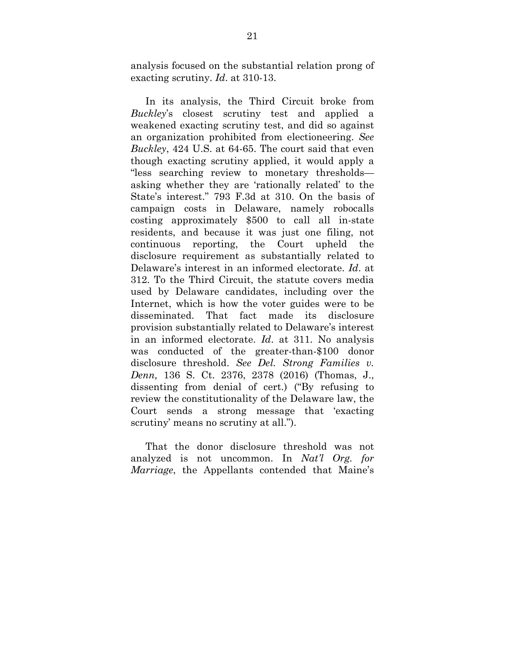analysis focused on the substantial relation prong of exacting scrutiny. *Id*. at 310-13.

In its analysis, the Third Circuit broke from *Buckley*'s closest scrutiny test and applied a weakened exacting scrutiny test, and did so against an organization prohibited from electioneering. *See Buckley*, 424 U.S. at 64-65. The court said that even though exacting scrutiny applied, it would apply a "less searching review to monetary thresholds asking whether they are 'rationally related' to the State's interest." 793 F.3d at 310. On the basis of campaign costs in Delaware, namely robocalls costing approximately \$500 to call all in-state residents, and because it was just one filing, not continuous reporting, the Court upheld the disclosure requirement as substantially related to Delaware's interest in an informed electorate. *Id*. at 312. To the Third Circuit, the statute covers media used by Delaware candidates, including over the Internet, which is how the voter guides were to be disseminated. That fact made its disclosure provision substantially related to Delaware's interest in an informed electorate. *Id*. at 311. No analysis was conducted of the greater-than-\$100 donor disclosure threshold. *See Del. Strong Families v. Denn,* 136 S. Ct. 2376, 2378 (2016) (Thomas, J., dissenting from denial of cert.) ("By refusing to review the constitutionality of the Delaware law, the Court sends a strong message that 'exacting scrutiny' means no scrutiny at all.").

That the donor disclosure threshold was not analyzed is not uncommon. In *Nat'l Org. for Marriage*, the Appellants contended that Maine's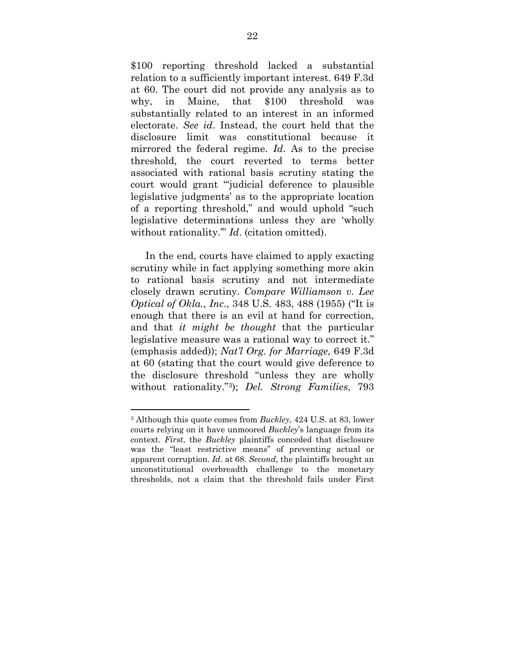\$100 reporting threshold lacked a substantial relation to a sufficiently important interest. 649 F.3d at 60. The court did not provide any analysis as to why, in Maine, that \$100 threshold was substantially related to an interest in an informed electorate. *See id*. Instead, the court held that the disclosure limit was constitutional because it mirrored the federal regime. *Id*. As to the precise threshold, the court reverted to terms better associated with rational basis scrutiny stating the court would grant "'judicial deference to plausible legislative judgments' as to the appropriate location of a reporting threshold," and would uphold "such legislative determinations unless they are 'wholly without rationality.'" *Id*. (citation omitted).

In the end, courts have claimed to apply exacting scrutiny while in fact applying something more akin to rational basis scrutiny and not intermediate closely drawn scrutiny. *Compare Williamson v. Lee Optical of Okla., Inc*., 348 U.S. 483, 488 (1955) ("It is enough that there is an evil at hand for correction, and that *it might be thought* that the particular legislative measure was a rational way to correct it." (emphasis added)); *Nat'l Org. for Marriage*, 649 F.3d at 60 (stating that the court would give deference to the disclosure threshold "unless they are wholly without rationality."3); *Del. Strong Families*, 793

<sup>3</sup> Although this quote comes from *Buckley*, 424 U.S. at 83, lower courts relying on it have unmoored *Buckley*'s language from its context. *First*, the *Buckley* plaintiffs conceded that disclosure was the "least restrictive means" of preventing actual or apparent corruption. *Id*. at 68. *Second*, the plaintiffs brought an unconstitutional overbreadth challenge to the monetary thresholds, not a claim that the threshold fails under First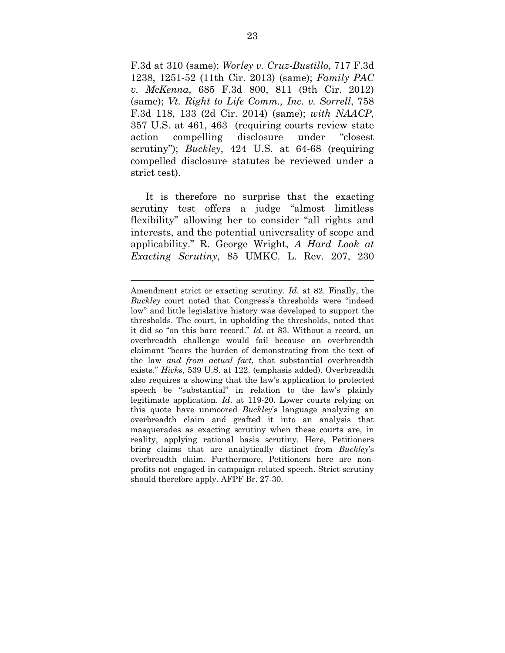F.3d at 310 (same); *Worley v. Cruz-Bustillo*, 717 F.3d 1238, 1251-52 (11th Cir. 2013) (same); *Family PAC v. McKenna*, 685 F.3d 800, 811 (9th Cir. 2012) (same); *Vt. Right to Life Comm., Inc. v. Sorrell*, 758 F.3d 118, 133 (2d Cir. 2014) (same); *with NAACP*, 357 U.S. at 461, 463 (requiring courts review state action compelling disclosure under "closest scrutiny"); *Buckley*, 424 U.S. at 64-68 (requiring compelled disclosure statutes be reviewed under a strict test).

It is therefore no surprise that the exacting scrutiny test offers a judge "almost limitless flexibility" allowing her to consider "all rights and interests, and the potential universality of scope and applicability." R. George Wright, *A Hard Look at Exacting Scrutiny*, 85 UMKC. L. Rev. 207, 230

Amendment strict or exacting scrutiny. *Id*. at 82. Finally, the *Buckley* court noted that Congress's thresholds were "indeed low" and little legislative history was developed to support the thresholds. The court, in upholding the thresholds, noted that it did so "on this bare record." *Id*. at 83. Without a record, an overbreadth challenge would fail because an overbreadth claimant "bears the burden of demonstrating from the text of the law *and from actual fact*, that substantial overbreadth exists." *Hicks*, 539 U.S. at 122. (emphasis added). Overbreadth also requires a showing that the law's application to protected speech be "substantial" in relation to the law's plainly legitimate application. *Id*. at 119-20. Lower courts relying on this quote have unmoored *Buckley*'s language analyzing an overbreadth claim and grafted it into an analysis that masquerades as exacting scrutiny when these courts are, in reality, applying rational basis scrutiny. Here, Petitioners bring claims that are analytically distinct from *Buckley*'s overbreadth claim. Furthermore, Petitioners here are nonprofits not engaged in campaign-related speech. Strict scrutiny should therefore apply. AFPF Br. 27-30.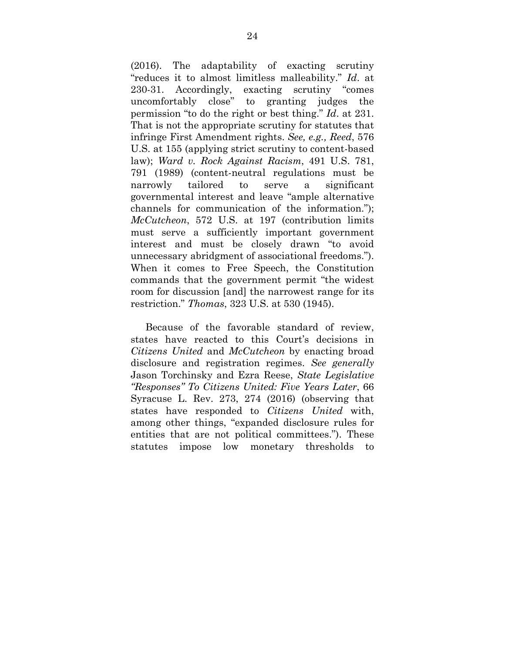(2016). The adaptability of exacting scrutiny "reduces it to almost limitless malleability." *Id*. at 230-31. Accordingly, exacting scrutiny "comes uncomfortably close" to granting judges the permission "to do the right or best thing." *Id*. at 231. That is not the appropriate scrutiny for statutes that infringe First Amendment rights. *See, e.g., Reed*, 576 U.S. at 155 (applying strict scrutiny to content-based law); *Ward v. Rock Against Racism*, 491 U.S. 781, 791 (1989) (content-neutral regulations must be narrowly tailored to serve a significant governmental interest and leave "ample alternative channels for communication of the information."); *McCutcheon*, 572 U.S. at 197 (contribution limits must serve a sufficiently important government interest and must be closely drawn "to avoid unnecessary abridgment of associational freedoms."). When it comes to Free Speech, the Constitution commands that the government permit "the widest room for discussion [and] the narrowest range for its restriction." *Thomas*, 323 U.S. at 530 (1945).

Because of the favorable standard of review, states have reacted to this Court's decisions in *Citizens United* and *McCutcheon* by enacting broad disclosure and registration regimes. *See generally* Jason Torchinsky and Ezra Reese, *State Legislative "Responses" To Citizens United: Five Years Later*, 66 Syracuse L. Rev. 273, 274 (2016) (observing that states have responded to *Citizens United* with, among other things, "expanded disclosure rules for entities that are not political committees."). These statutes impose low monetary thresholds to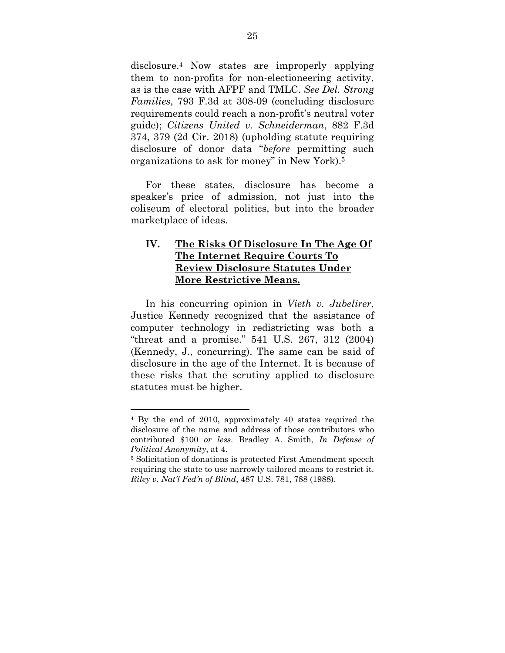disclosure.4 Now states are improperly applying them to non-profits for non-electioneering activity, as is the case with AFPF and TMLC. *See Del. Strong Families*, 793 F.3d at 308-09 (concluding disclosure requirements could reach a non-profit's neutral voter guide); *Citizens United v. Schneiderman*, 882 F.3d 374, 379 (2d Cir. 2018) (upholding statute requiring disclosure of donor data "*before* permitting such organizations to ask for money" in New York).5

For these states, disclosure has become a speaker's price of admission, not just into the coliseum of electoral politics, but into the broader marketplace of ideas.

## **IV. The Risks Of Disclosure In The Age Of The Internet Require Courts To Review Disclosure Statutes Under More Restrictive Means.**

In his concurring opinion in *Vieth v. Jubelirer*, Justice Kennedy recognized that the assistance of computer technology in redistricting was both a "threat and a promise." 541 U.S. 267, 312 (2004) (Kennedy, J., concurring). The same can be said of disclosure in the age of the Internet. It is because of these risks that the scrutiny applied to disclosure statutes must be higher.

<sup>4</sup> By the end of 2010, approximately 40 states required the disclosure of the name and address of those contributors who contributed \$100 *or less*. Bradley A. Smith, *In Defense of Political Anonymity*, at 4.

<sup>5</sup> Solicitation of donations is protected First Amendment speech requiring the state to use narrowly tailored means to restrict it. *Riley v. Nat'l Fed'n of Blind*, 487 U.S. 781, 788 (1988).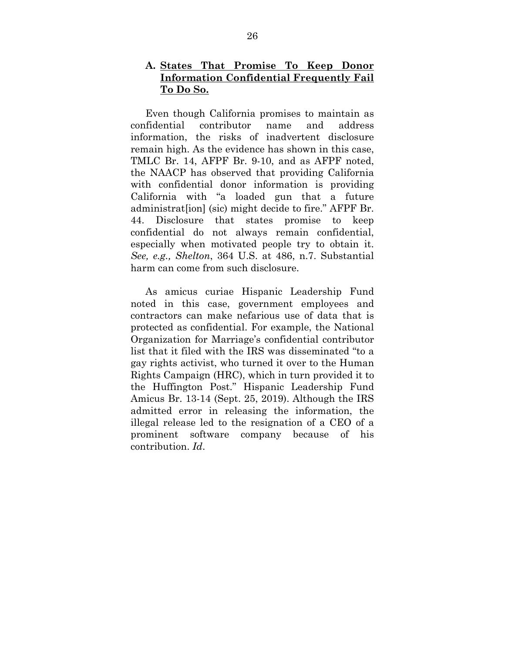#### **A. States That Promise To Keep Donor Information Confidential Frequently Fail To Do So.**

Even though California promises to maintain as confidential contributor name and address information, the risks of inadvertent disclosure remain high. As the evidence has shown in this case, TMLC Br. 14, AFPF Br. 9-10, and as AFPF noted, the NAACP has observed that providing California with confidential donor information is providing California with "a loaded gun that a future administrat[ion] (sic) might decide to fire." AFPF Br. 44. Disclosure that states promise to keep confidential do not always remain confidential, especially when motivated people try to obtain it. *See, e.g., Shelton*, 364 U.S. at 486, n.7. Substantial harm can come from such disclosure.

As amicus curiae Hispanic Leadership Fund noted in this case, government employees and contractors can make nefarious use of data that is protected as confidential. For example, the National Organization for Marriage's confidential contributor list that it filed with the IRS was disseminated "to a gay rights activist, who turned it over to the Human Rights Campaign (HRC), which in turn provided it to the Huffington Post." Hispanic Leadership Fund Amicus Br. 13-14 (Sept. 25, 2019). Although the IRS admitted error in releasing the information, the illegal release led to the resignation of a CEO of a prominent software company because of his contribution. *Id*.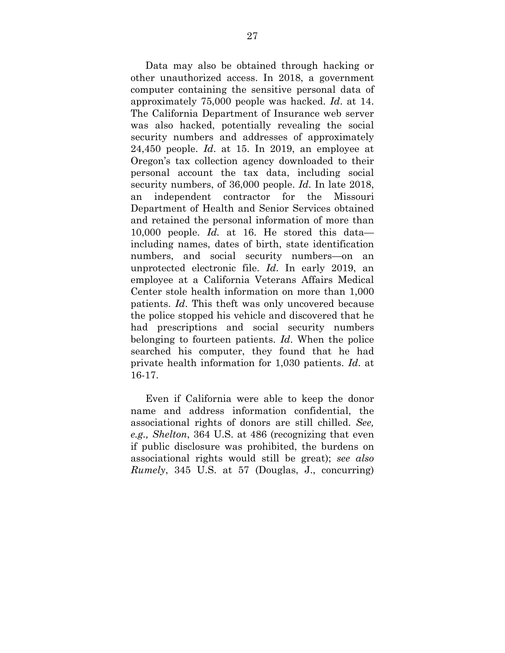Data may also be obtained through hacking or other unauthorized access. In 2018, a government computer containing the sensitive personal data of approximately 75,000 people was hacked. *Id*. at 14. The California Department of Insurance web server was also hacked, potentially revealing the social security numbers and addresses of approximately 24,450 people. *Id*. at 15. In 2019, an employee at Oregon's tax collection agency downloaded to their personal account the tax data, including social security numbers, of 36,000 people. *Id*. In late 2018, an independent contractor for the Missouri Department of Health and Senior Services obtained and retained the personal information of more than 10,000 people. *Id.* at 16. He stored this data including names, dates of birth, state identification numbers, and social security numbers—on an unprotected electronic file. *Id*. In early 2019, an employee at a California Veterans Affairs Medical Center stole health information on more than 1,000 patients. *Id*. This theft was only uncovered because the police stopped his vehicle and discovered that he had prescriptions and social security numbers belonging to fourteen patients. *Id*. When the police searched his computer, they found that he had private health information for 1,030 patients. *Id*. at 16-17.

Even if California were able to keep the donor name and address information confidential, the associational rights of donors are still chilled. *See, e.g., Shelton*, 364 U.S. at 486 (recognizing that even if public disclosure was prohibited, the burdens on associational rights would still be great); *see also Rumely*, 345 U.S. at 57 (Douglas, J., concurring)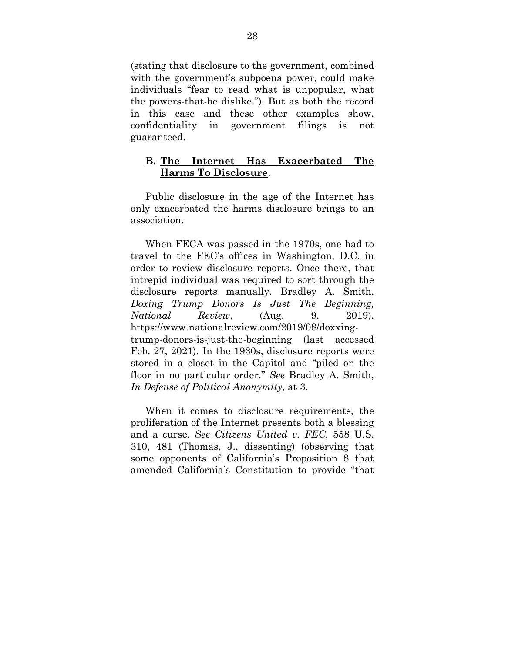(stating that disclosure to the government, combined with the government's subpoena power, could make individuals "fear to read what is unpopular, what the powers-that-be dislike."). But as both the record in this case and these other examples show, confidentiality in government filings is not guaranteed.

#### **B. The Internet Has Exacerbated The Harms To Disclosure**.

Public disclosure in the age of the Internet has only exacerbated the harms disclosure brings to an association.

When FECA was passed in the 1970s, one had to travel to the FEC's offices in Washington, D.C. in order to review disclosure reports. Once there, that intrepid individual was required to sort through the disclosure reports manually. Bradley A. Smith, *Doxing Trump Donors Is Just The Beginning, National Review*, (Aug. 9, 2019), https://www.nationalreview.com/2019/08/doxxingtrump-donors-is-just-the-beginning (last accessed Feb. 27, 2021). In the 1930s, disclosure reports were stored in a closet in the Capitol and "piled on the floor in no particular order." *See* Bradley A. Smith, *In Defense of Political Anonymity*, at 3.

When it comes to disclosure requirements, the proliferation of the Internet presents both a blessing and a curse. *See Citizens United v. FEC*, 558 U.S. 310, 481 (Thomas, J., dissenting) (observing that some opponents of California's Proposition 8 that amended California's Constitution to provide "that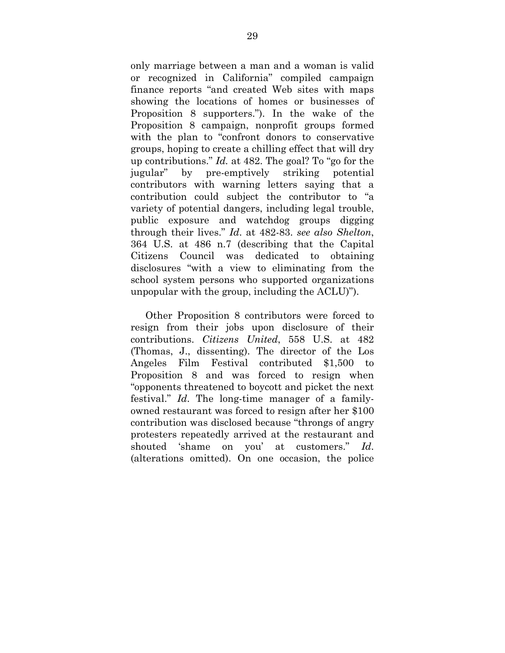only marriage between a man and a woman is valid or recognized in California" compiled campaign finance reports "and created Web sites with maps showing the locations of homes or businesses of Proposition 8 supporters."). In the wake of the Proposition 8 campaign, nonprofit groups formed with the plan to "confront donors to conservative groups, hoping to create a chilling effect that will dry up contributions." *Id.* at 482. The goal? To "go for the jugular" by pre-emptively striking potential contributors with warning letters saying that a contribution could subject the contributor to "a variety of potential dangers, including legal trouble, public exposure and watchdog groups digging through their lives." *Id*. at 482-83. *see also Shelton*, 364 U.S. at 486 n.7 (describing that the Capital Citizens Council was dedicated to obtaining disclosures "with a view to eliminating from the school system persons who supported organizations unpopular with the group, including the ACLU)").

Other Proposition 8 contributors were forced to resign from their jobs upon disclosure of their contributions. *Citizens United*, 558 U.S. at 482 (Thomas, J., dissenting). The director of the Los Angeles Film Festival contributed \$1,500 to Proposition 8 and was forced to resign when "opponents threatened to boycott and picket the next festival." *Id*. The long-time manager of a familyowned restaurant was forced to resign after her \$100 contribution was disclosed because "throngs of angry protesters repeatedly arrived at the restaurant and shouted 'shame on you' at customers." *Id*. (alterations omitted). On one occasion, the police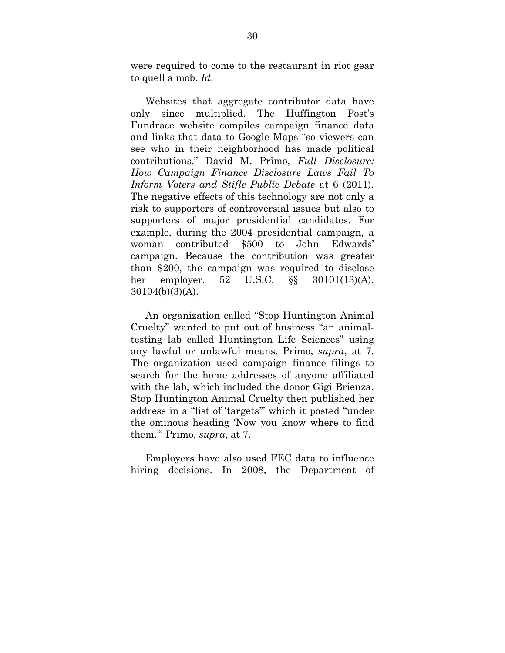were required to come to the restaurant in riot gear to quell a mob. *Id*.

Websites that aggregate contributor data have only since multiplied. The Huffington Post's Fundrace website compiles campaign finance data and links that data to Google Maps "so viewers can see who in their neighborhood has made political contributions." David M. Primo, *Full Disclosure: How Campaign Finance Disclosure Laws Fail To Inform Voters and Stifle Public Debate* at 6 (2011). The negative effects of this technology are not only a risk to supporters of controversial issues but also to supporters of major presidential candidates. For example, during the 2004 presidential campaign, a woman contributed \$500 to John Edwards' campaign. Because the contribution was greater than \$200, the campaign was required to disclose her employer. 52 U.S.C. §§ 30101(13)(A), 30104(b)(3)(A).

An organization called "Stop Huntington Animal Cruelty" wanted to put out of business "an animaltesting lab called Huntington Life Sciences" using any lawful or unlawful means. Primo, *supra*, at 7. The organization used campaign finance filings to search for the home addresses of anyone affiliated with the lab, which included the donor Gigi Brienza. Stop Huntington Animal Cruelty then published her address in a "list of 'targets'" which it posted "under the ominous heading 'Now you know where to find them.'" Primo, *supra*, at 7.

Employers have also used FEC data to influence hiring decisions. In 2008, the Department of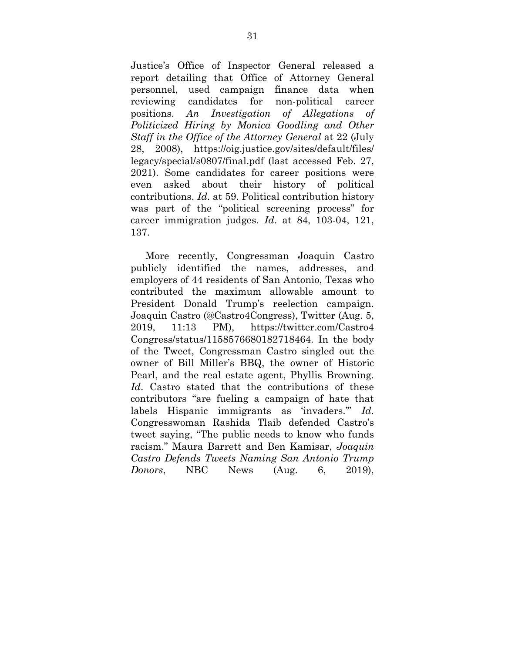Justice's Office of Inspector General released a report detailing that Office of Attorney General personnel, used campaign finance data when reviewing candidates for non-political career positions. *An Investigation of Allegations of Politicized Hiring by Monica Goodling and Other Staff in the Office of the Attorney General* at 22 (July 28, 2008), https://oig.justice.gov/sites/default/files/ legacy/special/s0807/final.pdf (last accessed Feb. 27, 2021). Some candidates for career positions were even asked about their history of political contributions. *Id*. at 59. Political contribution history was part of the "political screening process" for career immigration judges. *Id*. at 84, 103-04, 121, 137.

More recently, Congressman Joaquin Castro publicly identified the names, addresses, and employers of 44 residents of San Antonio, Texas who contributed the maximum allowable amount to President Donald Trump's reelection campaign. Joaquin Castro (@Castro4Congress), Twitter (Aug. 5, 2019, 11:13 PM), https://twitter.com/Castro4 Congress/status/1158576680182718464. In the body of the Tweet, Congressman Castro singled out the owner of Bill Miller's BBQ, the owner of Historic Pearl, and the real estate agent, Phyllis Browning. *Id*. Castro stated that the contributions of these contributors "are fueling a campaign of hate that labels Hispanic immigrants as 'invaders.'" *Id*. Congresswoman Rashida Tlaib defended Castro's tweet saying, "The public needs to know who funds racism." Maura Barrett and Ben Kamisar, *Joaquin Castro Defends Tweets Naming San Antonio Trump Donors*, NBC News (Aug. 6, 2019),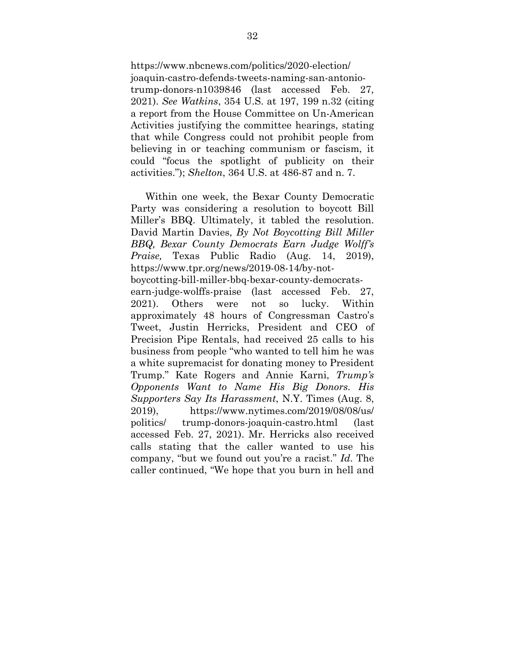https://www.nbcnews.com/politics/2020-election/ joaquin-castro-defends-tweets-naming-san-antoniotrump-donors-n1039846 (last accessed Feb. 27, 2021). *See Watkins*, 354 U.S. at 197, 199 n.32 (citing a report from the House Committee on Un-American Activities justifying the committee hearings, stating that while Congress could not prohibit people from believing in or teaching communism or fascism, it could "focus the spotlight of publicity on their activities."); *Shelton*, 364 U.S. at 486-87 and n. 7.

Within one week, the Bexar County Democratic Party was considering a resolution to boycott Bill Miller's BBQ. Ultimately, it tabled the resolution. David Martin Davies, *By Not Boycotting Bill Miller BBQ, Bexar County Democrats Earn Judge Wolff's Praise,* Texas Public Radio (Aug. 14, 2019), https://www.tpr.org/news/2019-08-14/by-notboycotting-bill-miller-bbq-bexar-county-democratsearn-judge-wolffs-praise (last accessed Feb. 27, 2021). Others were not so lucky. Within approximately 48 hours of Congressman Castro's Tweet, Justin Herricks, President and CEO of Precision Pipe Rentals, had received 25 calls to his business from people "who wanted to tell him he was a white supremacist for donating money to President Trump." Kate Rogers and Annie Karni, *Trump's Opponents Want to Name His Big Donors. His Supporters Say Its Harassment*, N.Y. Times (Aug. 8, 2019), https://www.nytimes.com/2019/08/08/us/ politics/ trump-donors-joaquin-castro.html (last accessed Feb. 27, 2021). Mr. Herricks also received calls stating that the caller wanted to use his company, "but we found out you're a racist." *Id*. The caller continued, "We hope that you burn in hell and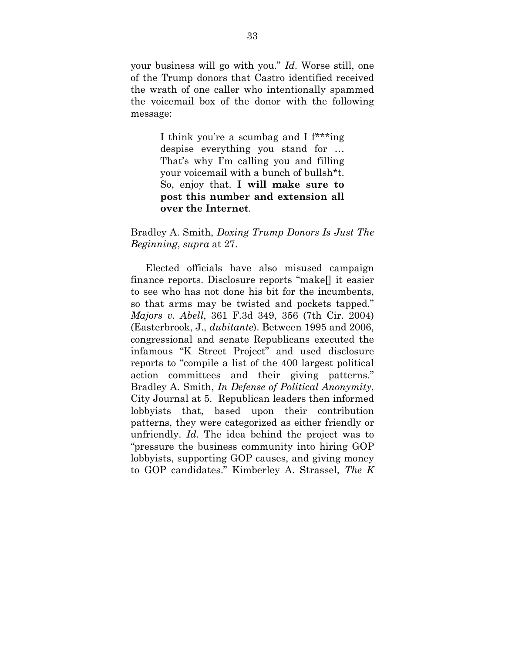your business will go with you." *Id*. Worse still, one of the Trump donors that Castro identified received the wrath of one caller who intentionally spammed the voicemail box of the donor with the following message:

> I think you're a scumbag and I f\*\*\*ing despise everything you stand for … That's why I'm calling you and filling your voicemail with a bunch of bullsh\*t. So, enjoy that. **I will make sure to post this number and extension all over the Internet**.

#### Bradley A. Smith, *Doxing Trump Donors Is Just The Beginning*, *supra* at 27.

Elected officials have also misused campaign finance reports. Disclosure reports "make[] it easier to see who has not done his bit for the incumbents, so that arms may be twisted and pockets tapped." *Majors v. Abell*, 361 F.3d 349, 356 (7th Cir. 2004) (Easterbrook, J., *dubitante*). Between 1995 and 2006, congressional and senate Republicans executed the infamous "K Street Project" and used disclosure reports to "compile a list of the 400 largest political action committees and their giving patterns." Bradley A. Smith, *In Defense of Political Anonymity*, City Journal at 5. Republican leaders then informed lobbyists that, based upon their contribution patterns, they were categorized as either friendly or unfriendly. *Id*. The idea behind the project was to "pressure the business community into hiring GOP lobbyists, supporting GOP causes, and giving money to GOP candidates." Kimberley A. Strassel, *The K*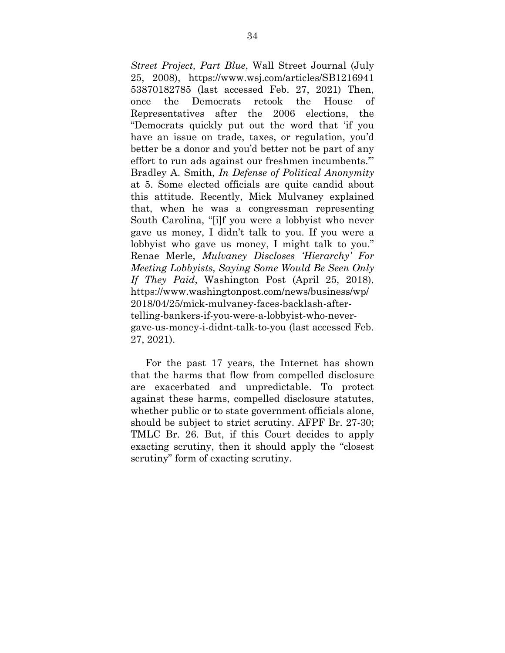*Street Project, Part Blue*, Wall Street Journal (July 25, 2008), https://www.wsj.com/articles/SB1216941 53870182785 (last accessed Feb. 27, 2021) Then, once the Democrats retook the House of Representatives after the 2006 elections, the "Democrats quickly put out the word that 'if you have an issue on trade, taxes, or regulation, you'd better be a donor and you'd better not be part of any effort to run ads against our freshmen incumbents.'" Bradley A. Smith, *In Defense of Political Anonymity* at 5. Some elected officials are quite candid about this attitude. Recently, Mick Mulvaney explained that, when he was a congressman representing South Carolina, "[i]f you were a lobbyist who never gave us money, I didn't talk to you. If you were a lobbyist who gave us money, I might talk to you." Renae Merle, *Mulvaney Discloses 'Hierarchy' For Meeting Lobbyists, Saying Some Would Be Seen Only If They Paid*, Washington Post (April 25, 2018), https://www.washingtonpost.com/news/business/wp/ 2018/04/25/mick-mulvaney-faces-backlash-aftertelling-bankers-if-you-were-a-lobbyist-who-nevergave-us-money-i-didnt-talk-to-you (last accessed Feb. 27, 2021).

For the past 17 years, the Internet has shown that the harms that flow from compelled disclosure are exacerbated and unpredictable. To protect against these harms, compelled disclosure statutes, whether public or to state government officials alone, should be subject to strict scrutiny. AFPF Br. 27-30; TMLC Br. 26. But, if this Court decides to apply exacting scrutiny, then it should apply the "closest scrutiny" form of exacting scrutiny.